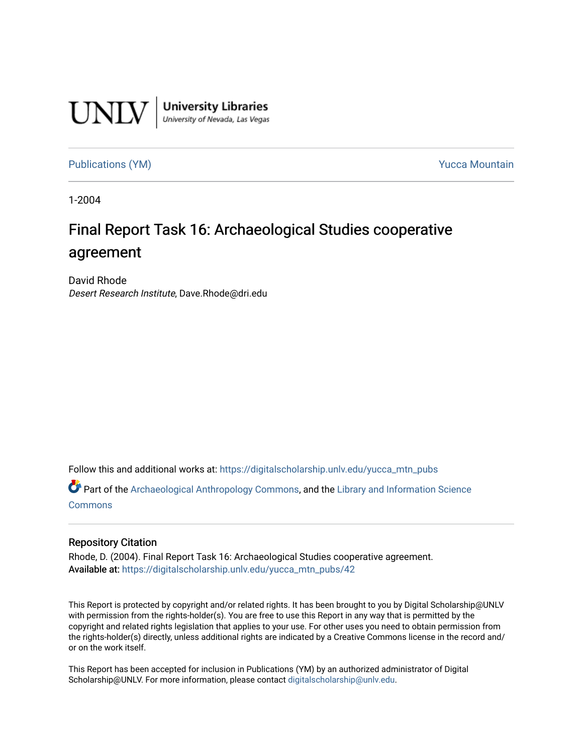

**University Libraries**<br>University of Nevada, Las Vegas

[Publications \(YM\)](https://digitalscholarship.unlv.edu/yucca_mtn_pubs) **Publications** (YM) **Publications** (YM)

1-2004

# Final Report Task 16: Archaeological Studies cooperative agreement

David Rhode Desert Research Institute, Dave.Rhode@dri.edu

Follow this and additional works at: [https://digitalscholarship.unlv.edu/yucca\\_mtn\\_pubs](https://digitalscholarship.unlv.edu/yucca_mtn_pubs?utm_source=digitalscholarship.unlv.edu%2Fyucca_mtn_pubs%2F42&utm_medium=PDF&utm_campaign=PDFCoverPages)

Part of the [Archaeological Anthropology Commons](http://network.bepress.com/hgg/discipline/319?utm_source=digitalscholarship.unlv.edu%2Fyucca_mtn_pubs%2F42&utm_medium=PDF&utm_campaign=PDFCoverPages), and the [Library and Information Science](http://network.bepress.com/hgg/discipline/1018?utm_source=digitalscholarship.unlv.edu%2Fyucca_mtn_pubs%2F42&utm_medium=PDF&utm_campaign=PDFCoverPages) [Commons](http://network.bepress.com/hgg/discipline/1018?utm_source=digitalscholarship.unlv.edu%2Fyucca_mtn_pubs%2F42&utm_medium=PDF&utm_campaign=PDFCoverPages)

## Repository Citation

Rhode, D. (2004). Final Report Task 16: Archaeological Studies cooperative agreement. Available at: [https://digitalscholarship.unlv.edu/yucca\\_mtn\\_pubs/42](https://digitalscholarship.unlv.edu/yucca_mtn_pubs/42) 

This Report is protected by copyright and/or related rights. It has been brought to you by Digital Scholarship@UNLV with permission from the rights-holder(s). You are free to use this Report in any way that is permitted by the copyright and related rights legislation that applies to your use. For other uses you need to obtain permission from the rights-holder(s) directly, unless additional rights are indicated by a Creative Commons license in the record and/ or on the work itself.

This Report has been accepted for inclusion in Publications (YM) by an authorized administrator of Digital Scholarship@UNLV. For more information, please contact [digitalscholarship@unlv.edu.](mailto:digitalscholarship@unlv.edu)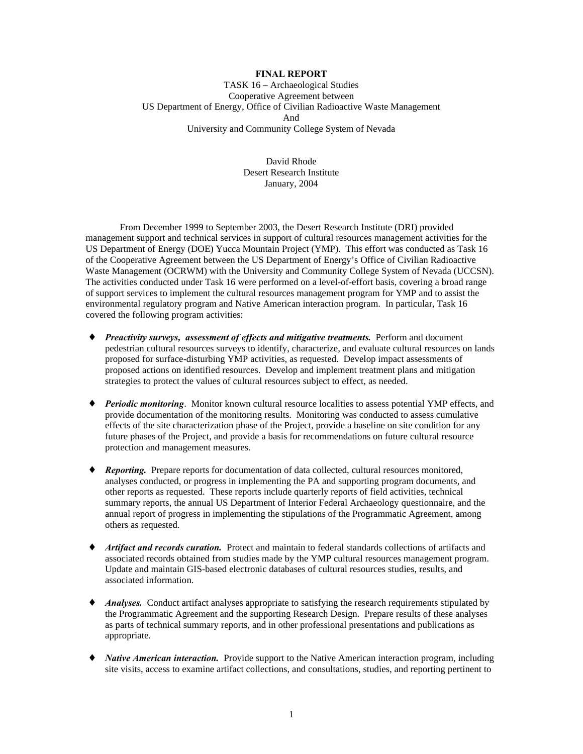## **FINAL REPORT**

TASK 16 – Archaeological Studies Cooperative Agreement between US Department of Energy, Office of Civilian Radioactive Waste Management And University and Community College System of Nevada

> David Rhode Desert Research Institute January, 2004

From December 1999 to September 2003, the Desert Research Institute (DRI) provided management support and technical services in support of cultural resources management activities for the US Department of Energy (DOE) Yucca Mountain Project (YMP). This effort was conducted as Task 16 of the Cooperative Agreement between the US Department of Energy's Office of Civilian Radioactive Waste Management (OCRWM) with the University and Community College System of Nevada (UCCSN). The activities conducted under Task 16 were performed on a level-of-effort basis, covering a broad range of support services to implement the cultural resources management program for YMP and to assist the environmental regulatory program and Native American interaction program. In particular, Task 16 covered the following program activities:

- ♦ *Preactivity surveys, assessment of effects and mitigative treatments.* Perform and document pedestrian cultural resources surveys to identify, characterize, and evaluate cultural resources on lands proposed for surface-disturbing YMP activities, as requested. Develop impact assessments of proposed actions on identified resources. Develop and implement treatment plans and mitigation strategies to protect the values of cultural resources subject to effect, as needed.
- ♦ *Periodic monitoring*. Monitor known cultural resource localities to assess potential YMP effects, and provide documentation of the monitoring results. Monitoring was conducted to assess cumulative effects of the site characterization phase of the Project, provide a baseline on site condition for any future phases of the Project, and provide a basis for recommendations on future cultural resource protection and management measures.
- ♦ *Reporting.* Prepare reports for documentation of data collected, cultural resources monitored, analyses conducted, or progress in implementing the PA and supporting program documents, and other reports as requested. These reports include quarterly reports of field activities, technical summary reports, the annual US Department of Interior Federal Archaeology questionnaire, and the annual report of progress in implementing the stipulations of the Programmatic Agreement, among others as requested.
- ♦ *Artifact and records curation.* Protect and maintain to federal standards collections of artifacts and associated records obtained from studies made by the YMP cultural resources management program. Update and maintain GIS-based electronic databases of cultural resources studies, results, and associated information.
- ◆ *Analyses.* Conduct artifact analyses appropriate to satisfying the research requirements stipulated by the Programmatic Agreement and the supporting Research Design. Prepare results of these analyses as parts of technical summary reports, and in other professional presentations and publications as appropriate.
- ♦ *Native American interaction.* Provide support to the Native American interaction program, including site visits, access to examine artifact collections, and consultations, studies, and reporting pertinent to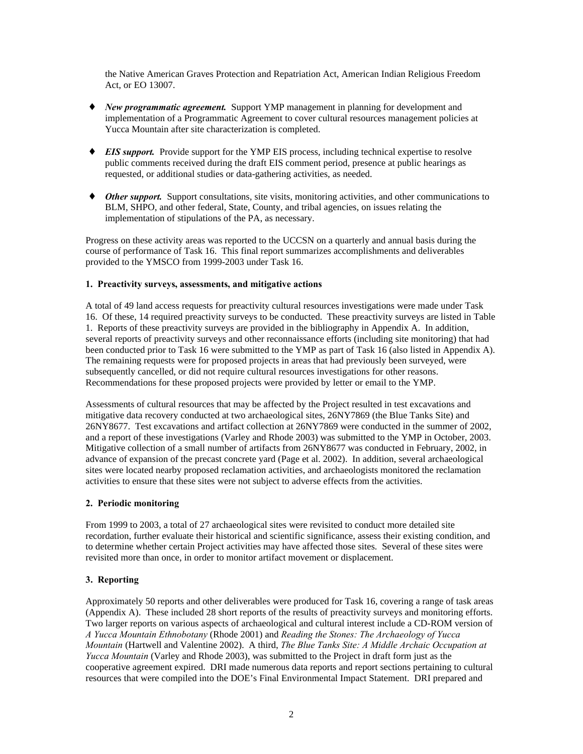the Native American Graves Protection and Repatriation Act, American Indian Religious Freedom Act, or EO 13007.

- ♦ *New programmatic agreement.* Support YMP management in planning for development and implementation of a Programmatic Agreement to cover cultural resources management policies at Yucca Mountain after site characterization is completed.
- ♦ *EIS support.* Provide support for the YMP EIS process, including technical expertise to resolve public comments received during the draft EIS comment period, presence at public hearings as requested, or additional studies or data-gathering activities, as needed.
- ♦ *Other support.* Support consultations, site visits, monitoring activities, and other communications to BLM, SHPO, and other federal, State, County, and tribal agencies, on issues relating the implementation of stipulations of the PA, as necessary.

Progress on these activity areas was reported to the UCCSN on a quarterly and annual basis during the course of performance of Task 16. This final report summarizes accomplishments and deliverables provided to the YMSCO from 1999-2003 under Task 16.

#### **1. Preactivity surveys, assessments, and mitigative actions**

A total of 49 land access requests for preactivity cultural resources investigations were made under Task 16. Of these, 14 required preactivity surveys to be conducted. These preactivity surveys are listed in Table 1. Reports of these preactivity surveys are provided in the bibliography in Appendix A. In addition, several reports of preactivity surveys and other reconnaissance efforts (including site monitoring) that had been conducted prior to Task 16 were submitted to the YMP as part of Task 16 (also listed in Appendix A). The remaining requests were for proposed projects in areas that had previously been surveyed, were subsequently cancelled, or did not require cultural resources investigations for other reasons. Recommendations for these proposed projects were provided by letter or email to the YMP.

Assessments of cultural resources that may be affected by the Project resulted in test excavations and mitigative data recovery conducted at two archaeological sites, 26NY7869 (the Blue Tanks Site) and 26NY8677. Test excavations and artifact collection at 26NY7869 were conducted in the summer of 2002, and a report of these investigations (Varley and Rhode 2003) was submitted to the YMP in October, 2003. Mitigative collection of a small number of artifacts from 26NY8677 was conducted in February, 2002, in advance of expansion of the precast concrete yard (Page et al. 2002). In addition, several archaeological sites were located nearby proposed reclamation activities, and archaeologists monitored the reclamation activities to ensure that these sites were not subject to adverse effects from the activities.

### **2. Periodic monitoring**

From 1999 to 2003, a total of 27 archaeological sites were revisited to conduct more detailed site recordation, further evaluate their historical and scientific significance, assess their existing condition, and to determine whether certain Project activities may have affected those sites. Several of these sites were revisited more than once, in order to monitor artifact movement or displacement.

### **3. Reporting**

Approximately 50 reports and other deliverables were produced for Task 16, covering a range of task areas (Appendix A). These included 28 short reports of the results of preactivity surveys and monitoring efforts. Two larger reports on various aspects of archaeological and cultural interest include a CD-ROM version of *A Yucca Mountain Ethnobotany* (Rhode 2001) and *Reading the Stones: The Archaeology of Yucca Mountain* (Hartwell and Valentine 2002). A third, *The Blue Tanks Site: A Middle Archaic Occupation at Yucca Mountain* (Varley and Rhode 2003), was submitted to the Project in draft form just as the cooperative agreement expired. DRI made numerous data reports and report sections pertaining to cultural resources that were compiled into the DOE's Final Environmental Impact Statement. DRI prepared and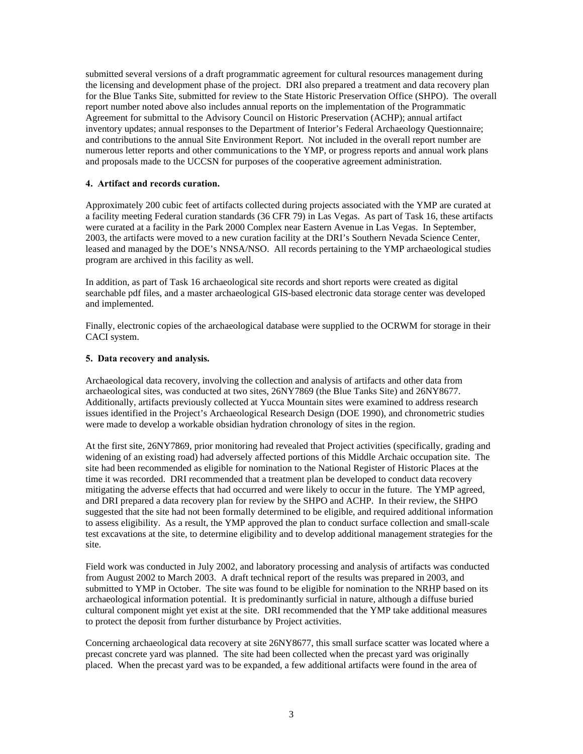submitted several versions of a draft programmatic agreement for cultural resources management during the licensing and development phase of the project. DRI also prepared a treatment and data recovery plan for the Blue Tanks Site, submitted for review to the State Historic Preservation Office (SHPO). The overall report number noted above also includes annual reports on the implementation of the Programmatic Agreement for submittal to the Advisory Council on Historic Preservation (ACHP); annual artifact inventory updates; annual responses to the Department of Interior's Federal Archaeology Questionnaire; and contributions to the annual Site Environment Report. Not included in the overall report number are numerous letter reports and other communications to the YMP, or progress reports and annual work plans and proposals made to the UCCSN for purposes of the cooperative agreement administration.

#### **4. Artifact and records curation.**

Approximately 200 cubic feet of artifacts collected during projects associated with the YMP are curated at a facility meeting Federal curation standards (36 CFR 79) in Las Vegas. As part of Task 16, these artifacts were curated at a facility in the Park 2000 Complex near Eastern Avenue in Las Vegas. In September, 2003, the artifacts were moved to a new curation facility at the DRI's Southern Nevada Science Center, leased and managed by the DOE's NNSA/NSO. All records pertaining to the YMP archaeological studies program are archived in this facility as well.

In addition, as part of Task 16 archaeological site records and short reports were created as digital searchable pdf files, and a master archaeological GIS-based electronic data storage center was developed and implemented.

Finally, electronic copies of the archaeological database were supplied to the OCRWM for storage in their CACI system.

#### **5. Data recovery and analysis.**

Archaeological data recovery, involving the collection and analysis of artifacts and other data from archaeological sites, was conducted at two sites, 26NY7869 (the Blue Tanks Site) and 26NY8677. Additionally, artifacts previously collected at Yucca Mountain sites were examined to address research issues identified in the Project's Archaeological Research Design (DOE 1990), and chronometric studies were made to develop a workable obsidian hydration chronology of sites in the region.

At the first site, 26NY7869, prior monitoring had revealed that Project activities (specifically, grading and widening of an existing road) had adversely affected portions of this Middle Archaic occupation site. The site had been recommended as eligible for nomination to the National Register of Historic Places at the time it was recorded. DRI recommended that a treatment plan be developed to conduct data recovery mitigating the adverse effects that had occurred and were likely to occur in the future. The YMP agreed, and DRI prepared a data recovery plan for review by the SHPO and ACHP. In their review, the SHPO suggested that the site had not been formally determined to be eligible, and required additional information to assess eligibility. As a result, the YMP approved the plan to conduct surface collection and small-scale test excavations at the site, to determine eligibility and to develop additional management strategies for the site.

Field work was conducted in July 2002, and laboratory processing and analysis of artifacts was conducted from August 2002 to March 2003. A draft technical report of the results was prepared in 2003, and submitted to YMP in October. The site was found to be eligible for nomination to the NRHP based on its archaeological information potential. It is predominantly surficial in nature, although a diffuse buried cultural component might yet exist at the site. DRI recommended that the YMP take additional measures to protect the deposit from further disturbance by Project activities.

Concerning archaeological data recovery at site 26NY8677, this small surface scatter was located where a precast concrete yard was planned. The site had been collected when the precast yard was originally placed. When the precast yard was to be expanded, a few additional artifacts were found in the area of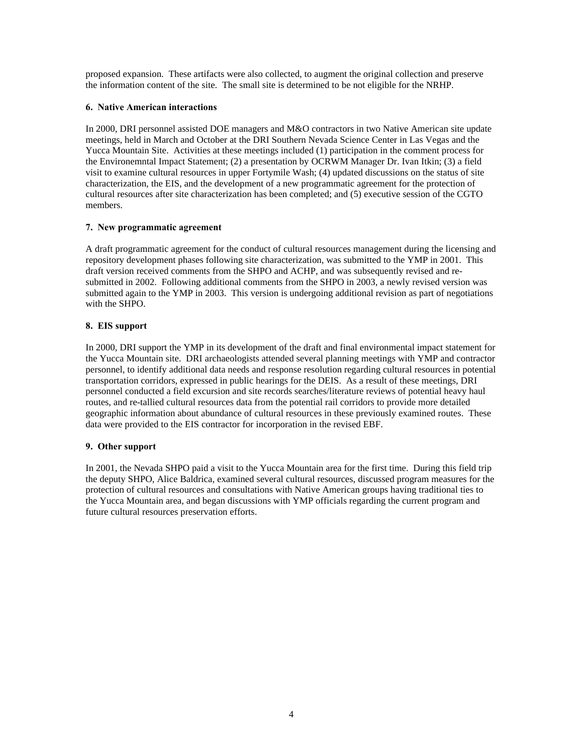proposed expansion. These artifacts were also collected, to augment the original collection and preserve the information content of the site. The small site is determined to be not eligible for the NRHP.

#### **6. Native American interactions**

In 2000, DRI personnel assisted DOE managers and M&O contractors in two Native American site update meetings, held in March and October at the DRI Southern Nevada Science Center in Las Vegas and the Yucca Mountain Site. Activities at these meetings included (1) participation in the comment process for the Environemntal Impact Statement; (2) a presentation by OCRWM Manager Dr. Ivan Itkin; (3) a field visit to examine cultural resources in upper Fortymile Wash; (4) updated discussions on the status of site characterization, the EIS, and the development of a new programmatic agreement for the protection of cultural resources after site characterization has been completed; and (5) executive session of the CGTO members.

#### **7. New programmatic agreement**

A draft programmatic agreement for the conduct of cultural resources management during the licensing and repository development phases following site characterization, was submitted to the YMP in 2001. This draft version received comments from the SHPO and ACHP, and was subsequently revised and resubmitted in 2002. Following additional comments from the SHPO in 2003, a newly revised version was submitted again to the YMP in 2003. This version is undergoing additional revision as part of negotiations with the SHPO.

#### **8. EIS support**

In 2000, DRI support the YMP in its development of the draft and final environmental impact statement for the Yucca Mountain site. DRI archaeologists attended several planning meetings with YMP and contractor personnel, to identify additional data needs and response resolution regarding cultural resources in potential transportation corridors, expressed in public hearings for the DEIS. As a result of these meetings, DRI personnel conducted a field excursion and site records searches/literature reviews of potential heavy haul routes, and re-tallied cultural resources data from the potential rail corridors to provide more detailed geographic information about abundance of cultural resources in these previously examined routes. These data were provided to the EIS contractor for incorporation in the revised EBF.

#### **9. Other support**

In 2001, the Nevada SHPO paid a visit to the Yucca Mountain area for the first time. During this field trip the deputy SHPO, Alice Baldrica, examined several cultural resources, discussed program measures for the protection of cultural resources and consultations with Native American groups having traditional ties to the Yucca Mountain area, and began discussions with YMP officials regarding the current program and future cultural resources preservation efforts.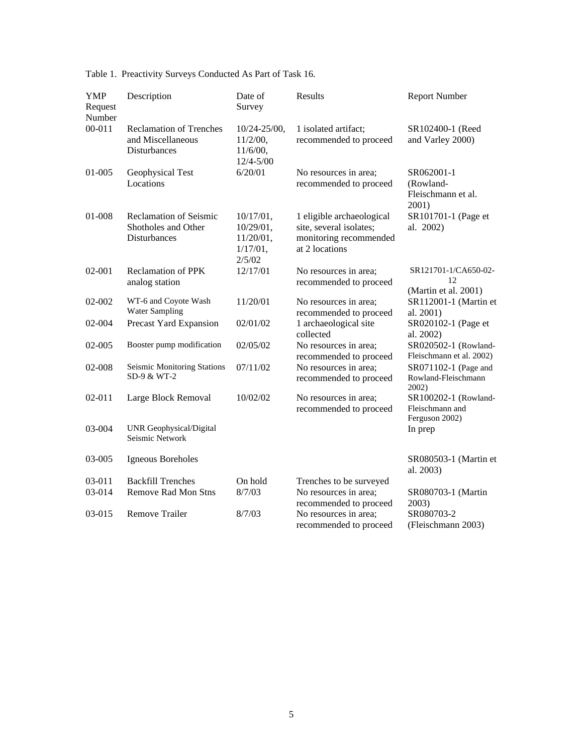| <b>YMP</b><br>Request<br>Number | Description                                                                 | Date of<br>Survey                                                | Results                                                                                          | <b>Report Number</b>                                      |
|---------------------------------|-----------------------------------------------------------------------------|------------------------------------------------------------------|--------------------------------------------------------------------------------------------------|-----------------------------------------------------------|
| $00 - 011$                      | <b>Reclamation of Trenches</b><br>and Miscellaneous<br><b>Disturbances</b>  | $10/24 - 25/00$ ,<br>$11/2/00$ ,<br>$11/6/00$ ,<br>$12/4 - 5/00$ | 1 isolated artifact;<br>recommended to proceed                                                   | SR102400-1 (Reed<br>and Varley 2000)                      |
| 01-005                          | Geophysical Test<br>Locations                                               | 6/20/01                                                          | No resources in area;<br>recommended to proceed                                                  | SR062001-1<br>(Rowland-<br>Fleischmann et al.<br>2001)    |
| 01-008                          | <b>Reclamation of Seismic</b><br>Shotholes and Other<br><b>Disturbances</b> | 10/17/01,<br>10/29/01,<br>$11/20/01$ ,<br>$1/17/01$ ,<br>2/5/02  | 1 eligible archaeological<br>site, several isolates;<br>monitoring recommended<br>at 2 locations | SR101701-1 (Page et<br>al. 2002)                          |
| 02-001                          | <b>Reclamation of PPK</b><br>analog station                                 | 12/17/01                                                         | No resources in area;<br>recommended to proceed                                                  | SR121701-1/CA650-02-<br>12<br>(Martin et al. 2001)        |
| 02-002                          | WT-6 and Coyote Wash<br><b>Water Sampling</b>                               | 11/20/01                                                         | No resources in area;<br>recommended to proceed                                                  | SR112001-1 (Martin et<br>al. 2001)                        |
| 02-004                          | Precast Yard Expansion                                                      | 02/01/02                                                         | 1 archaeological site<br>collected                                                               | SR020102-1 (Page et<br>al. 2002)                          |
| 02-005                          | Booster pump modification                                                   | 02/05/02                                                         | No resources in area;<br>recommended to proceed                                                  | SR020502-1 (Rowland-<br>Fleischmann et al. 2002)          |
| 02-008                          | Seismic Monitoring Stations<br>SD-9 & WT-2                                  | 07/11/02                                                         | No resources in area:<br>recommended to proceed                                                  | SR071102-1 (Page and<br>Rowland-Fleischmann<br>$2002$ )   |
| $02 - 011$                      | Large Block Removal                                                         | 10/02/02                                                         | No resources in area;<br>recommended to proceed                                                  | SR100202-1 (Rowland-<br>Fleischmann and<br>Ferguson 2002) |
| 03-004                          | <b>UNR Geophysical/Digital</b><br>Seismic Network                           |                                                                  |                                                                                                  | In prep                                                   |
| 03-005                          | Igneous Boreholes                                                           |                                                                  |                                                                                                  | SR080503-1 (Martin et<br>al. 2003)                        |
| 03-011                          | <b>Backfill Trenches</b>                                                    | On hold                                                          | Trenches to be surveyed                                                                          |                                                           |
| 03-014                          | <b>Remove Rad Mon Stns</b>                                                  | 8/7/03                                                           | No resources in area;                                                                            | SR080703-1 (Martin                                        |
| 03-015                          | <b>Remove Trailer</b>                                                       | 8/7/03                                                           | recommended to proceed<br>No resources in area;<br>recommended to proceed                        | 2003)<br>SR080703-2<br>(Fleischmann 2003)                 |

Table 1. Preactivity Surveys Conducted As Part of Task 16.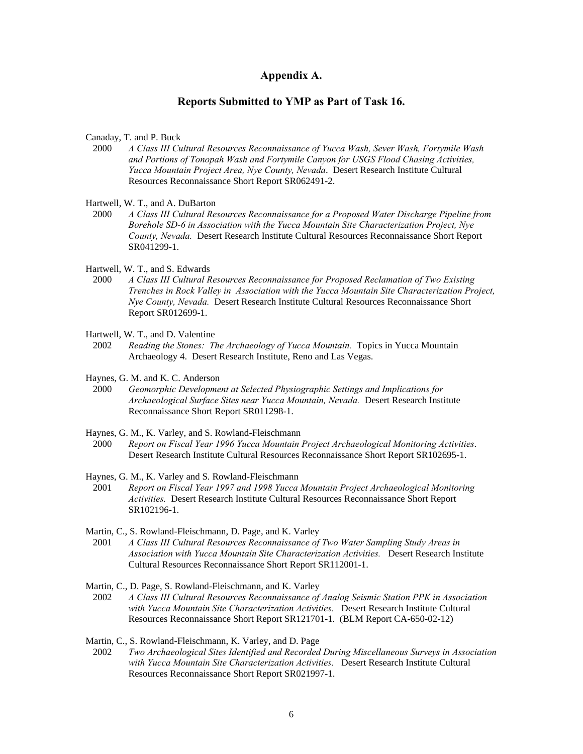#### **Appendix A.**

### **Reports Submitted to YMP as Part of Task 16.**

Canaday, T. and P. Buck

- 2000 *A Class III Cultural Resources Reconnaissance of Yucca Wash, Sever Wash, Fortymile Wash and Portions of Tonopah Wash and Fortymile Canyon for USGS Flood Chasing Activities, Yucca Mountain Project Area, Nye County, Nevada*. Desert Research Institute Cultural Resources Reconnaissance Short Report SR062491-2.
- Hartwell, W. T., and A. DuBarton
- 2000 *A Class III Cultural Resources Reconnaissance for a Proposed Water Discharge Pipeline from Borehole SD-6 in Association with the Yucca Mountain Site Characterization Project, Nye County, Nevada.* Desert Research Institute Cultural Resources Reconnaissance Short Report SR041299-1.
- Hartwell, W. T., and S. Edwards
- 2000 *A Class III Cultural Resources Reconnaissance for Proposed Reclamation of Two Existing Trenches in Rock Valley in Association with the Yucca Mountain Site Characterization Project, Nye County, Nevada.* Desert Research Institute Cultural Resources Reconnaissance Short Report SR012699-1.
- Hartwell, W. T., and D. Valentine
- 2002 *Reading the Stones: The Archaeology of Yucca Mountain.* Topics in Yucca Mountain Archaeology 4. Desert Research Institute, Reno and Las Vegas.
- Haynes, G. M. and K. C. Anderson
- 2000 *Geomorphic Development at Selected Physiographic Settings and Implications for Archaeological Surface Sites near Yucca Mountain, Nevada.* Desert Research Institute Reconnaissance Short Report SR011298-1.
- Haynes, G. M., K. Varley, and S. Rowland-Fleischmann
- 2000 *Report on Fiscal Year 1996 Yucca Mountain Project Archaeological Monitoring Activities*. Desert Research Institute Cultural Resources Reconnaissance Short Report SR102695-1.
- Haynes, G. M., K. Varley and S. Rowland-Fleischmann
- 2001 *Report on Fiscal Year 1997 and 1998 Yucca Mountain Project Archaeological Monitoring Activities.* Desert Research Institute Cultural Resources Reconnaissance Short Report SR102196-1.
- Martin, C., S. Rowland-Fleischmann, D. Page, and K. Varley
- 2001 *A Class III Cultural Resources Reconnaissance of Two Water Sampling Study Areas in Association with Yucca Mountain Site Characterization Activities.* Desert Research Institute Cultural Resources Reconnaissance Short Report SR112001-1.
- Martin, C., D. Page, S. Rowland-Fleischmann, and K. Varley
- 2002 *A Class III Cultural Resources Reconnaissance of Analog Seismic Station PPK in Association with Yucca Mountain Site Characterization Activities.* Desert Research Institute Cultural Resources Reconnaissance Short Report SR121701-1. (BLM Report CA-650-02-12)
- Martin, C., S. Rowland-Fleischmann, K. Varley, and D. Page
- 2002 *Two Archaeological Sites Identified and Recorded During Miscellaneous Surveys in Association with Yucca Mountain Site Characterization Activities.* Desert Research Institute Cultural Resources Reconnaissance Short Report SR021997-1.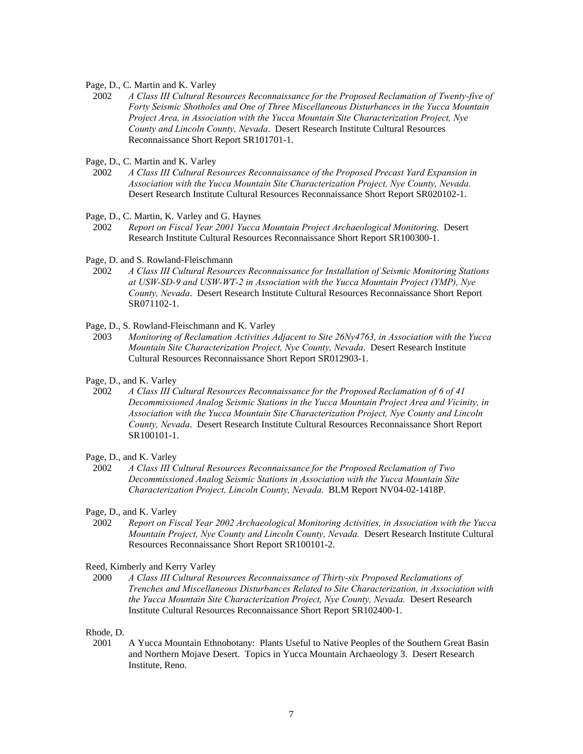#### Page, D., C. Martin and K. Varley

 2002 *A Class III Cultural Resources Reconnaissance for the Proposed Reclamation of Twenty-five of Forty Seismic Shotholes and One of Three Miscellaneous Disturbances in the Yucca Mountain Project Area, in Association with the Yucca Mountain Site Characterization Project, Nye County and Lincoln County, Nevada*. Desert Research Institute Cultural Resources Reconnaissance Short Report SR101701-1.

Page, D., C. Martin and K. Varley

2002 *A Class III Cultural Resources Reconnaissance of the Proposed Precast Yard Expansion in Association with the Yucca Mountain Site Characterization Project, Nye County, Nevada.* Desert Research Institute Cultural Resources Reconnaissance Short Report SR020102-1.

Page, D., C. Martin, K. Varley and G. Haynes

- 2002 *Report on Fiscal Year 2001 Yucca Mountain Project Archaeological Monitoring*. Desert Research Institute Cultural Resources Reconnaissance Short Report SR100300-1.
- Page, D. and S. Rowland-Fleischmann
- 2002 *A Class III Cultural Resources Reconnaissance for Installation of Seismic Monitoring Stations at USW-SD-9 and USW-WT-2 in Association with the Yucca Mountain Project (YMP), Nye County, Nevada*. Desert Research Institute Cultural Resources Reconnaissance Short Report SR071102-1.

Page, D., S. Rowland-Fleischmann and K. Varley

- 2003 *Monitoring of Reclamation Activities Adjacent to Site 26Ny4763, in Association with the Yucca Mountain Site Characterization Project, Nye County, Nevada*. Desert Research Institute Cultural Resources Reconnaissance Short Report SR012903-1.
- Page, D., and K. Varley
- 2002 *A Class III Cultural Resources Reconnaissance for the Proposed Reclamation of 6 of 41 Decommissioned Analog Seismic Stations in the Yucca Mountain Project Area and Vicinity, in Association with the Yucca Mountain Site Characterization Project, Nye County and Lincoln County, Nevada*. Desert Research Institute Cultural Resources Reconnaissance Short Report SR100101-1.

#### Page, D., and K. Varley

 2002 *A Class III Cultural Resources Reconnaissance for the Proposed Reclamation of Two Decommissioned Analog Seismic Stations in Association with the Yucca Mountain Site Characterization Project, Lincoln County, Nevada.* BLM Report NV04-02-1418P.

Page, D., and K. Varley

 2002 *Report on Fiscal Year 2002 Archaeological Monitoring Activities, in Association with the Yucca Mountain Project, Nye County and Lincoln County, Nevada.* Desert Research Institute Cultural Resources Reconnaissance Short Report SR100101-2.

Reed, Kimberly and Kerry Varley

 2000 *A Class III Cultural Resources Reconnaissance of Thirty-six Proposed Reclamations of Trenches and Miscellaneous Disturbances Related to Site Characterization, in Association with the Yucca Mountain Site Characterization Project, Nye County, Nevada.* Desert Research Institute Cultural Resources Reconnaissance Short Report SR102400-1.

Rhode, D.

 2001 A Yucca Mountain Ethnobotany: Plants Useful to Native Peoples of the Southern Great Basin and Northern Mojave Desert. Topics in Yucca Mountain Archaeology 3. Desert Research Institute, Reno.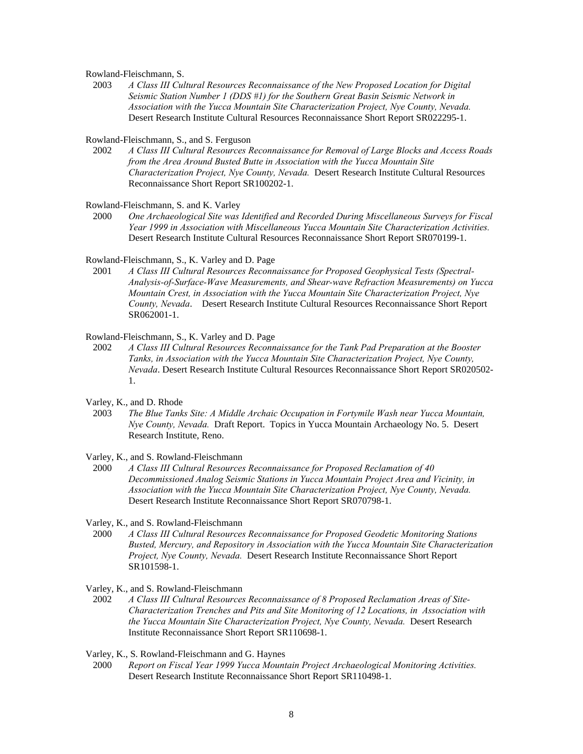Rowland-Fleischmann, S.

 2003 *A Class III Cultural Resources Reconnaissance of the New Proposed Location for Digital Seismic Station Number 1 (DDS #1) for the Southern Great Basin Seismic Network in Association with the Yucca Mountain Site Characterization Project, Nye County, Nevada.* Desert Research Institute Cultural Resources Reconnaissance Short Report SR022295-1.

Rowland-Fleischmann, S., and S. Ferguson

 2002 *A Class III Cultural Resources Reconnaissance for Removal of Large Blocks and Access Roads from the Area Around Busted Butte in Association with the Yucca Mountain Site Characterization Project, Nye County, Nevada.* Desert Research Institute Cultural Resources Reconnaissance Short Report SR100202-1.

Rowland-Fleischmann, S. and K. Varley

 2000 *One Archaeological Site was Identified and Recorded During Miscellaneous Surveys for Fiscal Year 1999 in Association with Miscellaneous Yucca Mountain Site Characterization Activities.* Desert Research Institute Cultural Resources Reconnaissance Short Report SR070199-1.

Rowland-Fleischmann, S., K. Varley and D. Page

 2001 *A Class III Cultural Resources Reconnaissance for Proposed Geophysical Tests (Spectral-Analysis-of-Surface-Wave Measurements, and Shear-wave Refraction Measurements) on Yucca Mountain Crest, in Association with the Yucca Mountain Site Characterization Project, Nye County, Nevada*. Desert Research Institute Cultural Resources Reconnaissance Short Report SR062001-1.

Rowland-Fleischmann, S., K. Varley and D. Page

- 2002 *A Class III Cultural Resources Reconnaissance for the Tank Pad Preparation at the Booster Tanks, in Association with the Yucca Mountain Site Characterization Project, Nye County, Nevada*. Desert Research Institute Cultural Resources Reconnaissance Short Report SR020502- 1.
- Varley, K., and D. Rhode
- 2003 *The Blue Tanks Site: A Middle Archaic Occupation in Fortymile Wash near Yucca Mountain, Nye County, Nevada.* Draft Report. Topics in Yucca Mountain Archaeology No. 5. Desert Research Institute, Reno.

Varley, K., and S. Rowland-Fleischmann

 2000 *A Class III Cultural Resources Reconnaissance for Proposed Reclamation of 40 Decommissioned Analog Seismic Stations in Yucca Mountain Project Area and Vicinity, in Association with the Yucca Mountain Site Characterization Project, Nye County, Nevada.* Desert Research Institute Reconnaissance Short Report SR070798-1.

Varley, K., and S. Rowland-Fleischmann

 2000 *A Class III Cultural Resources Reconnaissance for Proposed Geodetic Monitoring Stations Busted, Mercury, and Repository in Association with the Yucca Mountain Site Characterization Project, Nye County, Nevada.* Desert Research Institute Reconnaissance Short Report SR101598-1.

Varley, K., and S. Rowland-Fleischmann

 2002 *A Class III Cultural Resources Reconnaissance of 8 Proposed Reclamation Areas of Site-Characterization Trenches and Pits and Site Monitoring of 12 Locations, in Association with the Yucca Mountain Site Characterization Project, Nye County, Nevada.* Desert Research Institute Reconnaissance Short Report SR110698-1.

Varley, K., S. Rowland-Fleischmann and G. Haynes

 2000 *Report on Fiscal Year 1999 Yucca Mountain Project Archaeological Monitoring Activities.* Desert Research Institute Reconnaissance Short Report SR110498-1.